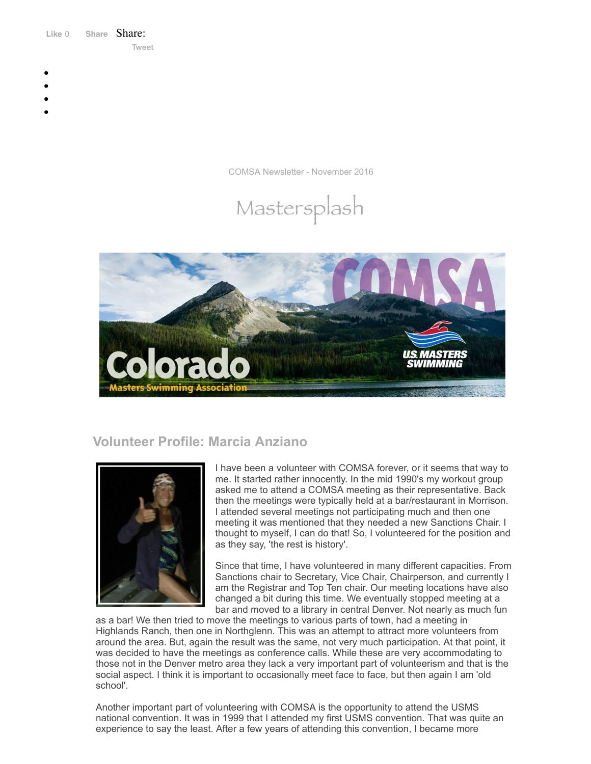Like 0 **[Share](https://www.facebook.com/sharer/sharer.php?u=https%3A%2F%2Fmyemail.constantcontact.com%2FCOMSA-Newsletter---November-2016.html%3Fsoid%3D1108936408185%26aid%3DasOArW6cMO0&display=popup&ref=plugin&src=like&kid_directed_site=0&app_id=120295828008556)** Share: [Tweet](https://twitter.com/intent/tweet?original_referer=https%3A%2F%2Fmyemail.constantcontact.com%2FCOMSA-Newsletter---November-2016.html%3Fsoid%3D1108936408185%26aid%3DasOArW6cMO0&ref_src=twsrc%5Etfw&text=COMSA%20Newsletter%20-%20November%202016&tw_p=tweetbutton&url=https%3A%2F%2Fmyemail.constantcontact.com%2FCOMSA-Newsletter---November-2016.html%3Fsoid%3D1108936408185%26aid%3DasOArW6cMO0)

- 
- 
- 
- 
- 

COMSA Newsletter - November 2016





# **Volunteer Profile: Marcia Anziano**



I have been a volunteer with COMSA forever, or it seems that way to me. It started rather innocently. In the mid 1990's my workout group asked me to attend a COMSA meeting as their representative. Back then the meetings were typically held at a bar/restaurant in Morrison. I attended several meetings not participating much and then one meeting it was mentioned that they needed a new Sanctions Chair. I thought to myself, I can do that! So, I volunteered for the position and as they say, 'the rest is history'.

Since that time, I have volunteered in many different capacities. From Sanctions chair to Secretary, Vice Chair, Chairperson, and currently I am the Registrar and Top Ten chair. Our meeting locations have also changed a bit during this time. We eventually stopped meeting at a bar and moved to a library in central Denver. Not nearly as much fun

as a bar! We then tried to move the meetings to various parts of town, had a meeting in Highlands Ranch, then one in Northglenn. This was an attempt to attract more volunteers from around the area. But, again the result was the same, not very much participation. At that point, it was decided to have the meetings as conference calls. While these are very accommodating to those not in the Denver metro area they lack a very important part of volunteerism and that is the social aspect. I think it is important to occasionally meet face to face, but then again I am 'old school'.

Another important part of volunteering with COMSA is the opportunity to attend the USMS national convention. It was in 1999 that I attended my first USMS convention. That was quite an experience to say the least. After a few years of attending this convention, I became more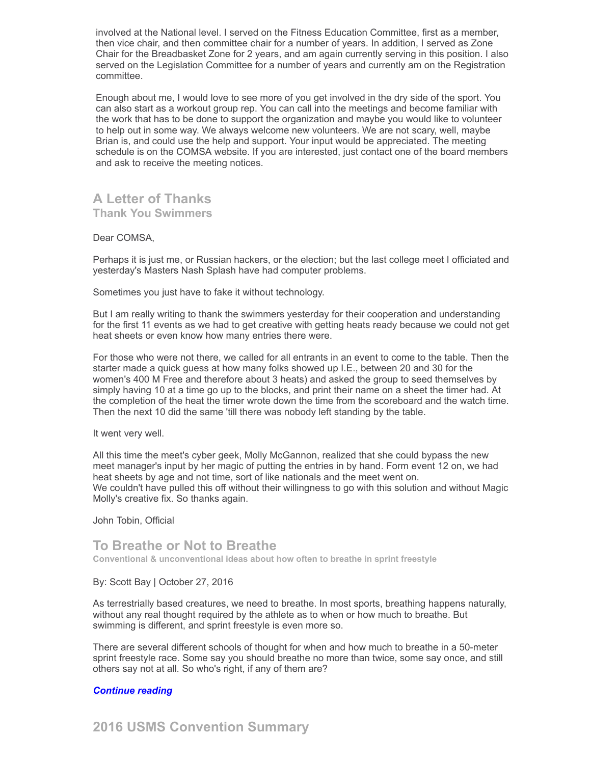involved at the National level. I served on the Fitness Education Committee, first as a member, then vice chair, and then committee chair for a number of years. In addition, I served as Zone Chair for the Breadbasket Zone for 2 years, and am again currently serving in this position. I also served on the Legislation Committee for a number of years and currently am on the Registration committee.

Enough about me, I would love to see more of you get involved in the dry side of the sport. You can also start as a workout group rep. You can call into the meetings and become familiar with the work that has to be done to support the organization and maybe you would like to volunteer to help out in some way. We always welcome new volunteers. We are not scary, well, maybe Brian is, and could use the help and support. Your input would be appreciated. The meeting schedule is on the COMSA website. If you are interested, just contact one of the board members and ask to receive the meeting notices.

## **A Letter of Thanks Thank You Swimmers**

### Dear COMSA,

Perhaps it is just me, or Russian hackers, or the election; but the last college meet I officiated and yesterday's Masters Nash Splash have had computer problems.

Sometimes you just have to fake it without technology.

But I am really writing to thank the swimmers yesterday for their cooperation and understanding for the first 11 events as we had to get creative with getting heats ready because we could not get heat sheets or even know how many entries there were.

For those who were not there, we called for all entrants in an event to come to the table. Then the starter made a quick guess at how many folks showed up I.E., between 20 and 30 for the women's 400 M Free and therefore about 3 heats) and asked the group to seed themselves by simply having 10 at a time go up to the blocks, and print their name on a sheet the timer had. At the completion of the heat the timer wrote down the time from the scoreboard and the watch time. Then the next 10 did the same 'till there was nobody left standing by the table.

It went very well.

All this time the meet's cyber geek, Molly McGannon, realized that she could bypass the new meet manager's input by her magic of putting the entries in by hand. Form event 12 on, we had heat sheets by age and not time, sort of like nationals and the meet went on. We couldn't have pulled this off without their willingness to go with this solution and without Magic Molly's creative fix. So thanks again.

John Tobin, Official

## **To Breathe or Not to Breathe**

**Conventional & unconventional ideas about how often to breathe in sprint freestyle**

### By: Scott Bay | October 27, 2016

As terrestrially based creatures, we need to breathe. In most sports, breathing happens naturally, without any real thought required by the athlete as to when or how much to breathe. But swimming is different, and sprint freestyle is even more so.

There are several different schools of thought for when and how much to breathe in a 50-meter sprint freestyle race. Some say you should breathe no more than twice, some say once, and still others say not at all. So who's right, if any of them are?

### *[Continue](http://www.usms.org/articles/articledisplay.php?aid=3288) reading*

**2016 USMS Convention Summary**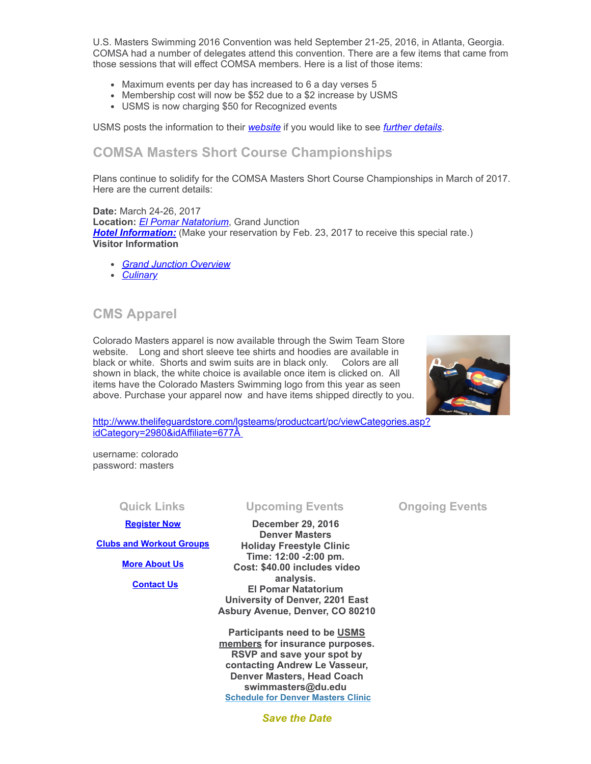U.S. Masters Swimming 2016 Convention was held September 21-25, 2016, in Atlanta, Georgia. COMSA had a number of delegates attend this convention. There are a few items that came from those sessions that will effect COMSA members. Here is a list of those items:

- Maximum events per day has increased to 6 a day verses 5
- Membership cost will now be \$52 due to a \$2 increase by USMS
- USMS is now charging \$50 for Recognized events

USMS posts the information to their *[website](http://www.usms.org/admin/conv/2016/)* if you would like to see *further [details](http://www.usms.org/admin/conv/2016/)*.

## **COMSA Masters Short Course Championships**

Plans continue to solidify for the COMSA Masters Short Course Championships in March of 2017. Here are the current details:

**Date:** March 24-26, 2017 **Location:** *El Pomar [Natatorium](http://www.coloradomesa.edu/wp/sportscommission/venue/el-pomar-natatorium/)*, Grand Junction **Hotel [Information:](http://www.comsa.org/events/2017/HOTELBOOKINGINFORMCOMSA2017.pdf)** (Make your reservation by Feb. 23, 2017 to receive this special rate.) **Visitor Information**

- *Grand Junction [Overview](https://www.youtube.com/watch?v=cs5FHADGrFY)*
- *[Culinary](https://www.youtube.com/watch?v=g_9Bjubp08w)*

## **CMS Apparel**

Colorado Masters apparel is now available through the Swim Team Store website. Long and short sleeve tee shirts and hoodies are available in black or white. Shorts and swim suits are in black only. Colors are all shown in black, the white choice is available once item is clicked on. All items have the Colorado Masters Swimming logo from this year as seen above. Purchase your apparel now and have items shipped directly to you.



[http://www.thelifeguardstore.com/lgsteams/productcart/pc/viewCategories.asp?](http://www.thelifeguardstore.com/lgsteams/productcart/pc/viewCategories.asp?idCategory=2980&idAffiliate=677) idCategory=2980&idAffiliate=677Â

username: colorado password: masters

**[Register Now](http://comsa.org/joining/index.html)**

**[Clubs and Workout Groups](http://comsa.org/clubs/index.html)**

**[More About Us](http://comsa.org/)**

 **[Contact Us](mailto:swimkdavis@gmail.com)**

### **Quick Links Upcoming Events Ongoing Events**

**December 29, 2016 Denver Masters Holiday Freestyle Clinic Time: 12:00 -2:00 pm. Cost: \$40.00 includes video analysis. El Pomar Natatorium University of Denver, 2201 East Asbury Avenue, Denver, CO 80210**

**[Participants](http://www.usms.org/reg/register.php) need to be USMS members for insurance purposes. RSVP and save your spot by contacting Andrew Le Vasseur, Denver Masters, Head Coach swimmasters@du.edu [Schedule for Denver Masters Clinic](http://www.comsa.org/events/2016/Denver%20Master%20Swimming%20Clinic%20Schedule.pdf)**

*Save the Date*